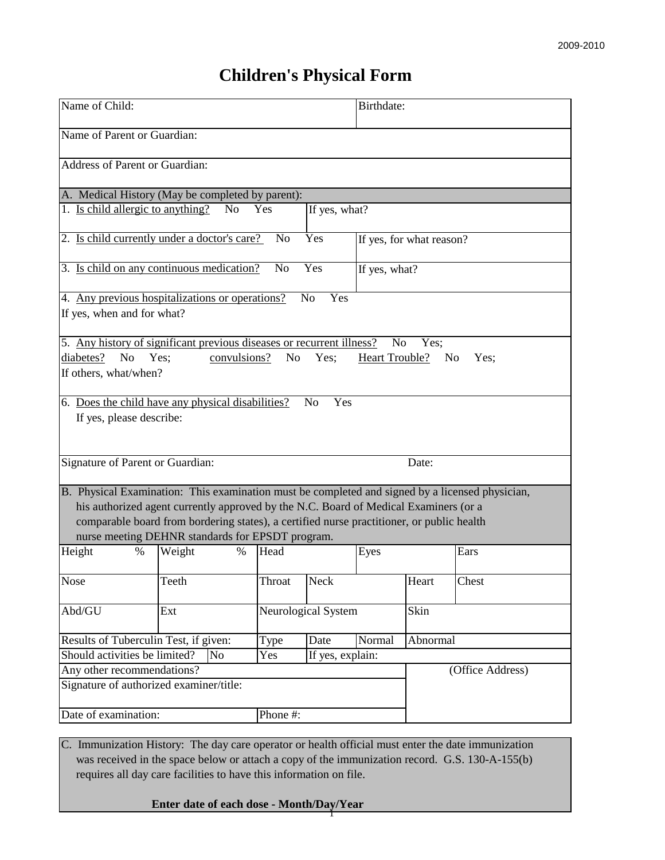## **Children's Physical Form**

| Name of Child:                                                                                                                                                                                                                                                                                                                           | Birthdate:          |                  |                          |       |                  |  |  |  |  |
|------------------------------------------------------------------------------------------------------------------------------------------------------------------------------------------------------------------------------------------------------------------------------------------------------------------------------------------|---------------------|------------------|--------------------------|-------|------------------|--|--|--|--|
| Name of Parent or Guardian:                                                                                                                                                                                                                                                                                                              |                     |                  |                          |       |                  |  |  |  |  |
| Address of Parent or Guardian:                                                                                                                                                                                                                                                                                                           |                     |                  |                          |       |                  |  |  |  |  |
| A. Medical History (May be completed by parent):                                                                                                                                                                                                                                                                                         |                     |                  |                          |       |                  |  |  |  |  |
| 1. Is child allergic to anything?<br>N <sub>0</sub><br>Yes                                                                                                                                                                                                                                                                               |                     |                  |                          |       |                  |  |  |  |  |
| 2. Is child currently under a doctor's care?                                                                                                                                                                                                                                                                                             | N <sub>o</sub>      | Yes              | If yes, for what reason? |       |                  |  |  |  |  |
| 3. Is child on any continuous medication?<br>Yes<br>N <sub>o</sub><br>If yes, what?                                                                                                                                                                                                                                                      |                     |                  |                          |       |                  |  |  |  |  |
| 4. Any previous hospitalizations or operations?<br>Yes<br>No<br>If yes, when and for what?                                                                                                                                                                                                                                               |                     |                  |                          |       |                  |  |  |  |  |
| 5. Any history of significant previous diseases or recurrent illness?<br>N <sub>0</sub><br>Yes;<br>diabetes?<br>convulsions?<br>N <sub>0</sub><br>Yes;<br>No<br>Yes;<br><b>Heart Trouble?</b><br>N <sub>0</sub><br>Yes;<br>If others, what/when?                                                                                         |                     |                  |                          |       |                  |  |  |  |  |
| 6. Does the child have any physical disabilities?<br>Yes<br>N <sub>0</sub><br>If yes, please describe:                                                                                                                                                                                                                                   |                     |                  |                          |       |                  |  |  |  |  |
| Signature of Parent or Guardian:                                                                                                                                                                                                                                                                                                         |                     |                  |                          | Date: |                  |  |  |  |  |
| B. Physical Examination: This examination must be completed and signed by a licensed physician,<br>his authorized agent currently approved by the N.C. Board of Medical Examiners (or a<br>comparable board from bordering states), a certified nurse practitioner, or public health<br>nurse meeting DEHNR standards for EPSDT program. |                     |                  |                          |       |                  |  |  |  |  |
| Height<br>Weight<br>%<br>$\%$                                                                                                                                                                                                                                                                                                            | Head                | Eyes             |                          |       | Ears             |  |  |  |  |
| Nose<br>Teeth                                                                                                                                                                                                                                                                                                                            | Throat              | Neck             |                          | Heart | Chest            |  |  |  |  |
| Abd/GU<br>Ext                                                                                                                                                                                                                                                                                                                            | Neurological System |                  |                          | Skin  |                  |  |  |  |  |
| Results of Tuberculin Test, if given:                                                                                                                                                                                                                                                                                                    | Type                | Date             | Normal                   |       | Abnormal         |  |  |  |  |
| Should activities be limited?<br><b>No</b>                                                                                                                                                                                                                                                                                               | Yes                 | If yes, explain: |                          |       |                  |  |  |  |  |
| Any other recommendations?<br>Signature of authorized examiner/title:                                                                                                                                                                                                                                                                    |                     |                  |                          |       | (Office Address) |  |  |  |  |
| Date of examination:<br>Phone #:                                                                                                                                                                                                                                                                                                         |                     |                  |                          |       |                  |  |  |  |  |

C. Immunization History: The day care operator or health official must enter the date immunization was received in the space below or attach a copy of the immunization record. G.S. 130-A-155(b) requires all day care facilities to have this information on file.

## **Enter date of each dose - Month/Day/Year** 1